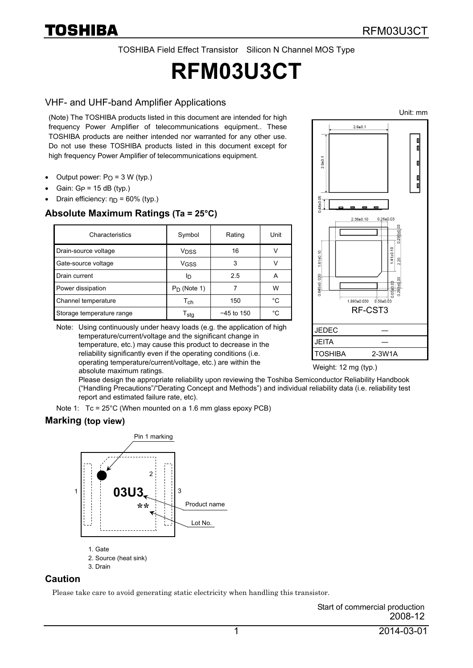TOSHIBA Field Effect Transistor Silicon N Channel MOS Type

# **RFM03U3CT**

#### VHF- and UHF-band Amplifier Applications

(Note) The TOSHIBA products listed in this document are intended for high frequency Power Amplifier of telecommunications equipment.. These TOSHIBA products are neither intended nor warranted for any other use. Do not use these TOSHIBA products listed in this document except for high frequency Power Amplifier of telecommunications equipment.

- Output power:  $P<sub>O</sub> = 3 W (typ.)$
- Gain:  $G_P = 15$  dB (typ.)
- Drain efficiency:  $η<sub>D</sub> = 60%$  (typ.)

#### **Absolute Maximum Ratings (Ta = 25°C)**

| Characteristics           | Symbol                      | Rating       | Unit |
|---------------------------|-----------------------------|--------------|------|
| Drain-source voltage      | V <sub>DSS</sub>            | 16           |      |
| Gate-source voltage       | V <sub>GSS</sub>            | 3            |      |
| Drain current             | םו                          | 2.5          |      |
| Power dissipation         | $P_D$ (Note 1)              |              | w    |
| Channel temperature       | $\mathsf{T}_{\mathsf{ch}}$  | 150          | °C   |
| Storage temperature range | $\mathsf{T}_{\mathsf{stq}}$ | $-45$ to 150 | °C.  |

Note: Using continuously under heavy loads (e.g. the application of high temperature/current/voltage and the significant change in temperature, etc.) may cause this product to decrease in the reliability significantly even if the operating conditions (i.e. operating temperature/current/voltage, etc.) are within the absolute maximum ratings.



Weight: 12 mg (typ.)

Please design the appropriate reliability upon reviewing the Toshiba Semiconductor Reliability Handbook ("Handling Precautions"/"Derating Concept and Methods") and individual reliability data (i.e. reliability test report and estimated failure rate, etc).

Note 1: Tc = 25°C (When mounted on a 1.6 mm glass epoxy PCB)

#### **Marking (top view)**



#### **Caution**

Please take care to avoid generating static electricity when handling this transistor.

Start of commercial production 2008-12

Unit: mm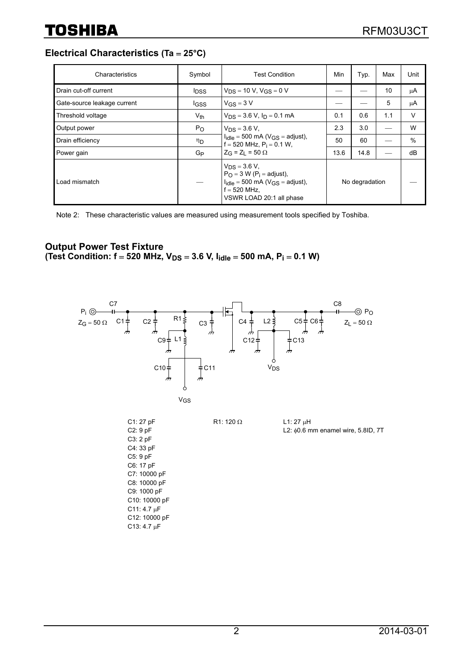**Electrical Characteristics (Ta** = **25°C)**

| Characteristics             | Symbol                  | <b>Test Condition</b>                                                                                                                                          | Min            | Typ. | Max | Unit |
|-----------------------------|-------------------------|----------------------------------------------------------------------------------------------------------------------------------------------------------------|----------------|------|-----|------|
| Drain cut-off current       | <b>I</b> <sub>DSS</sub> | $V_{DS} = 10 V$ , $V_{GS} = 0 V$                                                                                                                               |                |      | 10  | μA   |
| Gate-source leakage current | <b>IGSS</b>             | $V_{GS} = 3 V$                                                                                                                                                 |                |      | 5   | μA   |
| Threshold voltage           | $V_{th}$                | $V_{DS} = 3.6 V$ , $I_D = 0.1 mA$                                                                                                                              | 0.1            | 0.6  | 1.1 | V    |
| Output power                | $P_{O}$                 | $V_{DS} = 3.6 V$ ,                                                                                                                                             | 2.3            | 3.0  |     | W    |
| Drain efficiency            | ηD                      | $I_{idle} = 500$ mA ( $V_{GS} =$ adjust),<br>$f = 520$ MHz, $P_i = 0.1$ W,                                                                                     | 50             | 60   |     | $\%$ |
| Power gain                  | G <sub>P</sub>          | $Z_G = Z_1 = 50 \Omega$                                                                                                                                        | 13.6           | 14.8 |     | dB   |
| Load mismatch               |                         | $V_{DS} = 3.6 V$ ,<br>$P_{\Omega}$ = 3 W (P <sub>i</sub> = adjust),<br>$I_{idle} = 500$ mA ( $V_{GS} =$ adjust),<br>$f = 520$ MHz.<br>VSWR LOAD 20:1 all phase | No degradation |      |     |      |

Note 2: These characteristic values are measured using measurement tools specified by Toshiba.

#### **Output Power Test Fixture**  (Test Condition:  $f = 520$  MHz,  $V_{DS} = 3.6$  V,  $I_{idle} = 500$  mA,  $P_i = 0.1$  W)

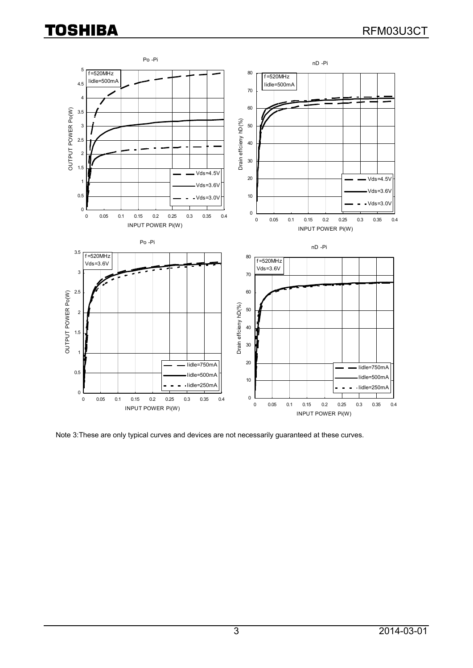## **TOSHIBA**



Note 3:These are only typical curves and devices are not necessarily guaranteed at these curves.